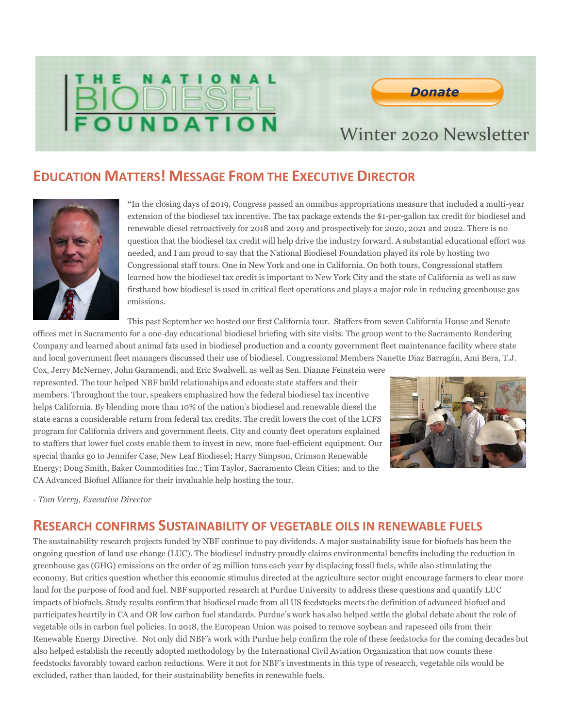# $\mathbf{o}$ **BIODIESEL**



### EDUCATION MATTERS! MESSAGE FROM THE EXECUTIVE DIRECTOR



I

"In the closing days of 2019, Congress passed an omnibus appropriations measure that included a multi-year extension of the biodiesel tax incentive. The tax package extends the \$1-per-gallon tax credit for biodiesel and renewable diesel retroactively for 2018 and 2019 and prospectively for 2020, 2021 and 2022. There is no question that the biodiesel tax credit will help drive the industry forward. A substantial educational effort was needed, and I am proud to say that the National Biodiesel Foundation played its role by hosting two Congressional staff tours. One in New York and one in California. On both tours, Congressional staffers learned how the biodiesel tax credit is important to New York City and the state of California as well as saw firsthand how biodiesel is used in critical fleet operations and plays a major role in reducing greenhouse gas emissions.

This past September we hosted our first California tour. Staffers from seven California House and Senate

offices met in Sacramento for a one-day educational biodiesel briefing with site visits. The group went to the Sacramento Rendering Company and learned about animal fats used in biodiesel production and a county government fleet maintenance facility where state and local government fleet managers discussed their use of biodiesel. Congressional Members Nanette Diaz Barragán, Ami Bera, T.J.

Cox, Jerry McNerney, John Garamendi, and Eric Swalwell, as well as Sen. Dianne Feinstein were represented. The tour helped NBF build relationships and educate state staffers and their members. Throughout the tour, speakers emphasized how the federal biodiesel tax incentive helps California. By blending more than 10% of the nation's biodiesel and renewable diesel the state earns a considerable return from federal tax credits. The credit lowers the cost of the LCFS program for California drivers and government fleets. City and county fleet operators explained to staffers that lower fuel costs enable them to invest in new, more fuel-efficient equipment. Our special thanks go to Jennifer Case, New Leaf Biodiesel; Harry Simpson, Crimson Renewable Energy; Doug Smith, Baker Commodities Inc.; Tim Taylor, Sacramento Clean Cities; and to the CA Advanced Biofuel Alliance for their invaluable help hosting the tour.



- Tom Verry, Executive Director

#### RESEARCH CONFIRMS SUSTAINABILITY OF VEGETABLE OILS IN RENEWABLE FUELS

The sustainability research projects funded by NBF continue to pay dividends. A major sustainability issue for biofuels has been the ongoing question of land use change (LUC). The biodiesel industry proudly claims environmental benefits including the reduction in greenhouse gas (GHG) emissions on the order of 25 million tons each year by displacing fossil fuels, while also stimulating the economy. But critics question whether this economic stimulus directed at the agriculture sector might encourage farmers to clear more land for the purpose of food and fuel. NBF supported research at Purdue University to address these questions and quantify LUC impacts of biofuels. Study results confirm that biodiesel made from all US feedstocks meets the definition of advanced biofuel and participates heartily in CA and OR low carbon fuel standards. Purdue's work has also helped settle the global debate about the role of vegetable oils in carbon fuel policies. In 2018, the European Union was poised to remove soybean and rapeseed oils from their Renewable Energy Directive. Not only did NBF's work with Purdue help confirm the role of these feedstocks for the coming decades but also helped establish the recently adopted methodology by the International Civil Aviation Organization that now counts these feedstocks favorably toward carbon reductions. Were it not for NBF's investments in this type of research, vegetable oils would be excluded, rather than lauded, for their sustainability benefits in renewable fuels.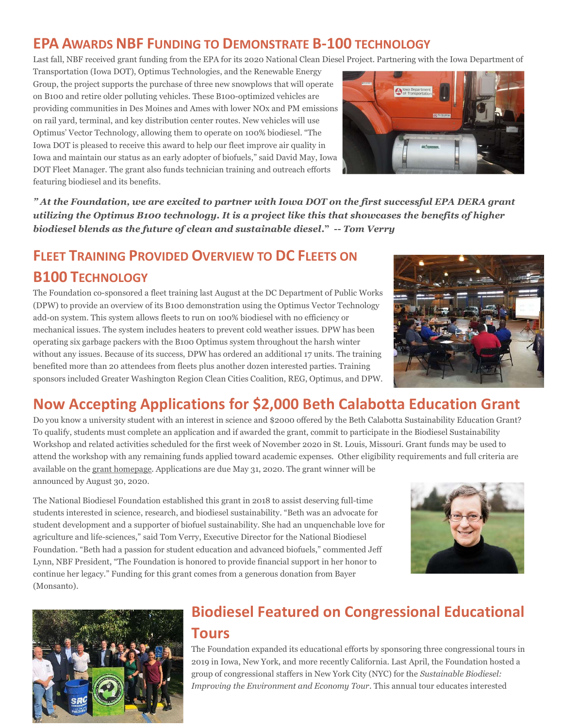# EPA AWARDS NBF FUNDING TO DEMONSTRATE B-100 TECHNOLOGY

Last fall, NBF received grant funding from the EPA for its 2020 National Clean Diesel Project. Partnering with the Iowa Department of

Transportation (Iowa DOT), Optimus Technologies, and the Renewable Energy Group, the project supports the purchase of three new snowplows that will operate on B100 and retire older polluting vehicles. These B100-optimized vehicles are providing communities in Des Moines and Ames with lower NOx and PM emissions on rail yard, terminal, and key distribution center routes. New vehicles will use Optimus' Vector Technology, allowing them to operate on 100% biodiesel. "The Iowa DOT is pleased to receive this award to help our fleet improve air quality in Iowa and maintain our status as an early adopter of biofuels," said David May, Iowa DOT Fleet Manager. The grant also funds technician training and outreach efforts featuring biodiesel and its benefits.



" At the Foundation, we are excited to partner with Iowa DOT on the first successful EPA DERA grant utilizing the Optimus B100 technology. It is a project like this that showcases the benefits of higher biodiesel blends as the future of clean and sustainable diesel." -- Tom Verry

# FLEET TRAINING PROVIDED OVERVIEW TO DC FLEETS ON B100 TECHNOLOGY

The Foundation co-sponsored a fleet training last August at the DC Department of Public Works (DPW) to provide an overview of its B100 demonstration using the Optimus Vector Technology add-on system. This system allows fleets to run on 100% biodiesel with no efficiency or mechanical issues. The system includes heaters to prevent cold weather issues. DPW has been operating six garbage packers with the B100 Optimus system throughout the harsh winter without any issues. Because of its success, DPW has ordered an additional 17 units. The training benefited more than 20 attendees from fleets plus another dozen interested parties. Training sponsors included Greater Washington Region Clean Cities Coalition, REG, Optimus, and DPW.



# Now Accepting Applications for \$2,000 Beth Calabotta Education Grant

Do you know a university student with an interest in science and \$2000 offered by the Beth Calabotta Sustainability Education Grant? To qualify, students must complete an application and if awarded the grant, commit to participate in the Biodiesel Sustainability Workshop and related activities scheduled for the first week of November 2020 in St. Louis, Missouri. Grant funds may be used to attend the workshop with any remaining funds applied toward academic expenses. Other eligibility requirements and full criteria are available on the grant homepage. Applications are due May 31, 2020. The grant winner will be announced by August 30, 2020.

The National Biodiesel Foundation established this grant in 2018 to assist deserving full-time students interested in science, research, and biodiesel sustainability. "Beth was an advocate for student development and a supporter of biofuel sustainability. She had an unquenchable love for agriculture and life-sciences," said Tom Verry, Executive Director for the National Biodiesel Foundation. "Beth had a passion for student education and advanced biofuels," commented Jeff Lynn, NBF President, "The Foundation is honored to provide financial support in her honor to continue her legacy." Funding for this grant comes from a generous donation from Bayer (Monsanto).





# Biodiesel Featured on Congressional Educational Tours

The Foundation expanded its educational efforts by sponsoring three congressional tours in 2019 in Iowa, New York, and more recently California. Last April, the Foundation hosted a group of congressional staffers in New York City (NYC) for the Sustainable Biodiesel: Improving the Environment and Economy Tour. This annual tour educates interested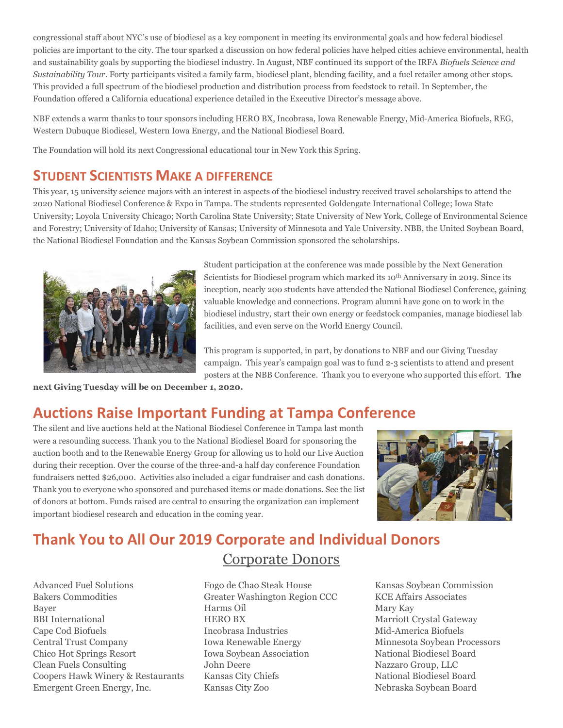congressional staff about NYC's use of biodiesel as a key component in meeting its environmental goals and how federal biodiesel policies are important to the city. The tour sparked a discussion on how federal policies have helped cities achieve environmental, health and sustainability goals by supporting the biodiesel industry. In August, NBF continued its support of the IRFA Biofuels Science and Sustainability Tour. Forty participants visited a family farm, biodiesel plant, blending facility, and a fuel retailer among other stops. This provided a full spectrum of the biodiesel production and distribution process from feedstock to retail. In September, the Foundation offered a California educational experience detailed in the Executive Director's message above.

NBF extends a warm thanks to tour sponsors including HERO BX, Incobrasa, Iowa Renewable Energy, Mid-America Biofuels, REG, Western Dubuque Biodiesel, Western Iowa Energy, and the National Biodiesel Board.

The Foundation will hold its next Congressional educational tour in New York this Spring.

# STUDENT SCIENTISTS MAKE A DIFFERENCE

This year, 15 university science majors with an interest in aspects of the biodiesel industry received travel scholarships to attend the 2020 National Biodiesel Conference & Expo in Tampa. The students represented Goldengate International College; Iowa State University; Loyola University Chicago; North Carolina State University; State University of New York, College of Environmental Science and Forestry; University of Idaho; University of Kansas; University of Minnesota and Yale University. NBB, the United Soybean Board, the National Biodiesel Foundation and the Kansas Soybean Commission sponsored the scholarships.



Student participation at the conference was made possible by the Next Generation Scientists for Biodiesel program which marked its 10<sup>th</sup> Anniversary in 2019. Since its inception, nearly 200 students have attended the National Biodiesel Conference, gaining valuable knowledge and connections. Program alumni have gone on to work in the biodiesel industry, start their own energy or feedstock companies, manage biodiesel lab facilities, and even serve on the World Energy Council.

This program is supported, in part, by donations to NBF and our Giving Tuesday campaign. This year's campaign goal was to fund 2-3 scientists to attend and present posters at the NBB Conference. Thank you to everyone who supported this effort. The

next Giving Tuesday will be on December 1, 2020.

# Auctions Raise Important Funding at Tampa Conference

The silent and live auctions held at the National Biodiesel Conference in Tampa last month were a resounding success. Thank you to the National Biodiesel Board for sponsoring the auction booth and to the Renewable Energy Group for allowing us to hold our Live Auction during their reception. Over the course of the three-and-a half day conference Foundation fundraisers netted \$26,000. Activities also included a cigar fundraiser and cash donations. Thank you to everyone who sponsored and purchased items or made donations. See the list of donors at bottom. Funds raised are central to ensuring the organization can implement important biodiesel research and education in the coming year.



# Thank You to All Our 2019 Corporate and Individual Donors

#### Corporate Donors

Advanced Fuel Solutions Bakers Commodities Bayer BBI International Cape Cod Biofuels Central Trust Company Chico Hot Springs Resort Clean Fuels Consulting Coopers Hawk Winery & Restaurants Emergent Green Energy, Inc.

Fogo de Chao Steak House Greater Washington Region CCC Harms Oil HERO BX Incobrasa Industries Iowa Renewable Energy Iowa Soybean Association John Deere Kansas City Chiefs Kansas City Zoo

Kansas Soybean Commission KCE Affairs Associates Mary Kay Marriott Crystal Gateway Mid-America Biofuels Minnesota Soybean Processors National Biodiesel Board Nazzaro Group, LLC National Biodiesel Board Nebraska Soybean Board